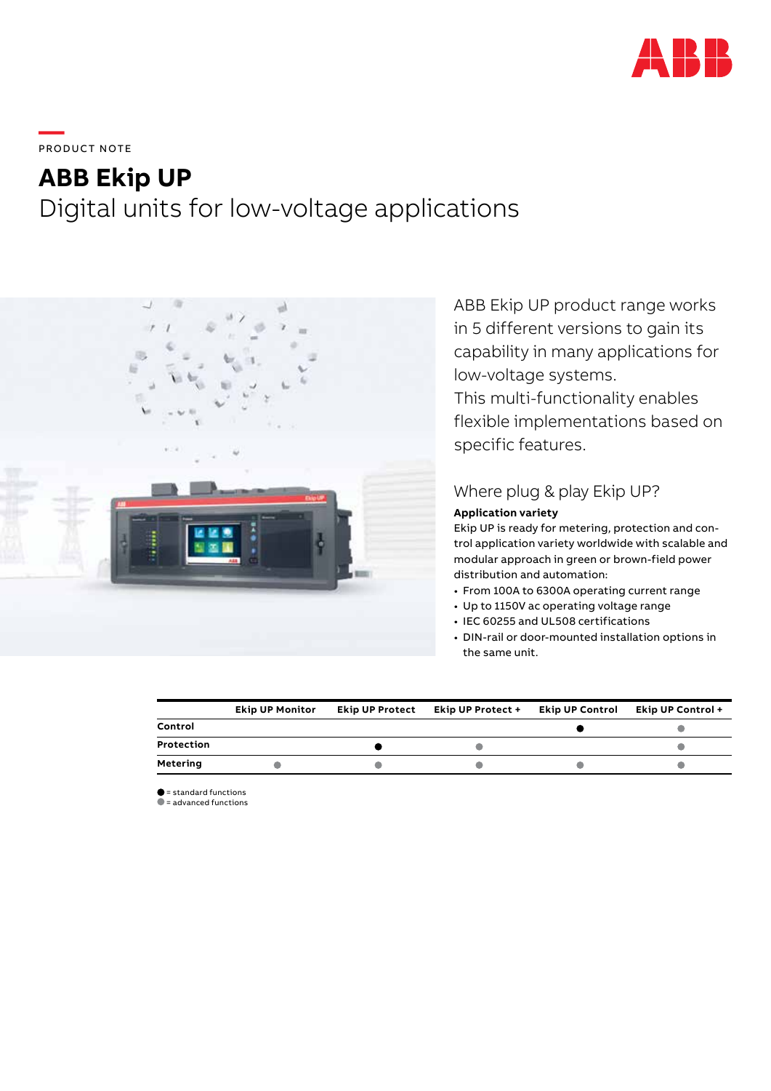

**—**  PRO DUC T NOTE

# **ABB Ekip UP** Digital units for low-voltage applications



ABB Ekip UP product range works in 5 different versions to gain its capability in many applications for low-voltage systems.

This multi-functionality enables flexible implementations based on specific features.

## Where plug & play Ekip UP?

### **Application variety**

Ekip UP is ready for metering, protection and control application variety worldwide with scalable and modular approach in green or brown-field power distribution and automation:

- From 100A to 6300A operating current range
- Up to 1150V ac operating voltage range
- IEC 60255 and UL508 certifications
- DIN-rail or door-mounted installation options in the same unit.

|            | <b>Ekip UP Monitor</b> | <b>Ekip UP Protect</b> | Ekip UP Protect + | <b>Ekip UP Control</b> | <b>Ekip UP Control +</b> |
|------------|------------------------|------------------------|-------------------|------------------------|--------------------------|
| Control    |                        |                        |                   |                        |                          |
| Protection |                        |                        |                   |                        |                          |
| Metering   |                        |                        |                   |                        |                          |

 $\bullet$  = standard functions

 $\bullet$  = advanced functions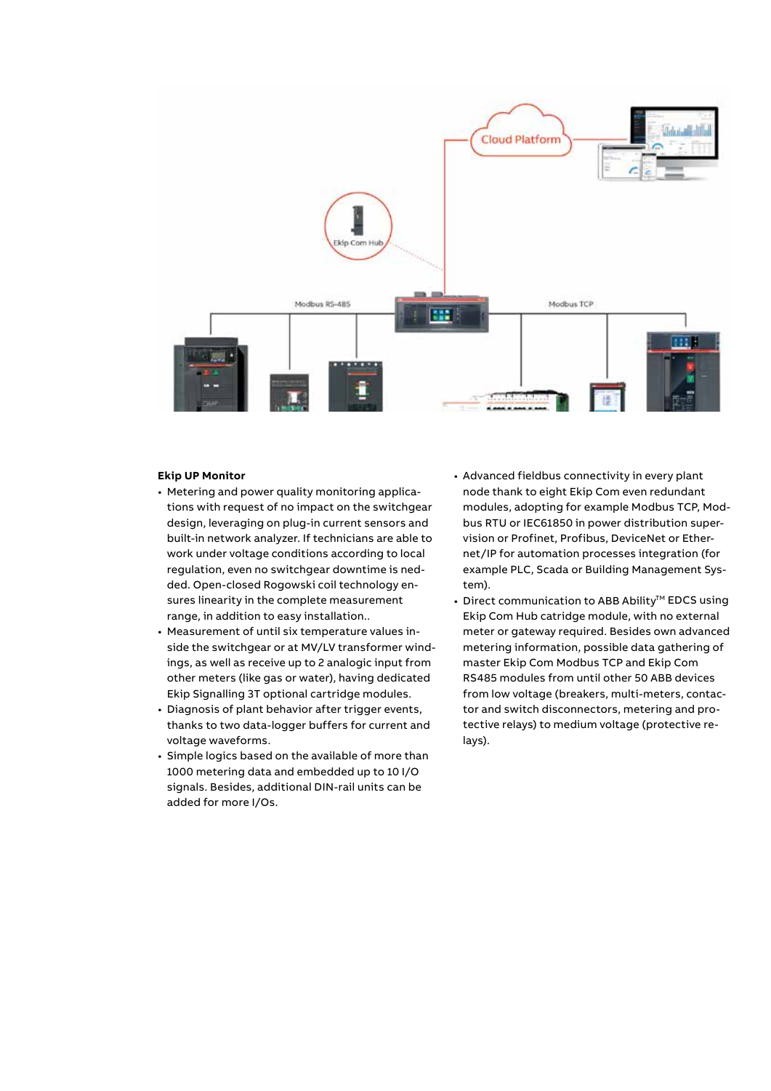

#### **Ekip UP Monitor**

- Metering and power quality monitoring applications with request of no impact on the switchgear design, leveraging on plug-in current sensors and built-in network analyzer. If technicians are able to work under voltage conditions according to local regulation, even no switchgear downtime is nedded. Open-closed Rogowski coil technology ensures linearity in the complete measurement range, in addition to easy installation..
- Measurement of until six temperature values inside the switchgear or at MV/LV transformer windings, as well as receive up to 2 analogic input from other meters (like gas or water), having dedicated Ekip Signalling 3T optional cartridge modules.
- Diagnosis of plant behavior after trigger events, thanks to two data-logger buffers for current and voltage waveforms.
- Simple logics based on the available of more than 1000 metering data and embedded up to 10 I/O signals. Besides, additional DIN-rail units can be added for more I/Os.
- Advanced fieldbus connectivity in every plant node thank to eight Ekip Com even redundant modules, adopting for example Modbus TCP, Modbus RTU or IEC61850 in power distribution supervision or Profinet, Profibus, DeviceNet or Ethernet/IP for automation processes integration (for example PLC, Scada or Building Management System).
- Direct communication to ABB Ability<sup>™</sup> EDCS using Ekip Com Hub catridge module, with no external meter or gateway required. Besides own advanced metering information, possible data gathering of master Ekip Com Modbus TCP and Ekip Com RS485 modules from until other 50 ABB devices from low voltage (breakers, multi-meters, contactor and switch disconnectors, metering and protective relays) to medium voltage (protective relays).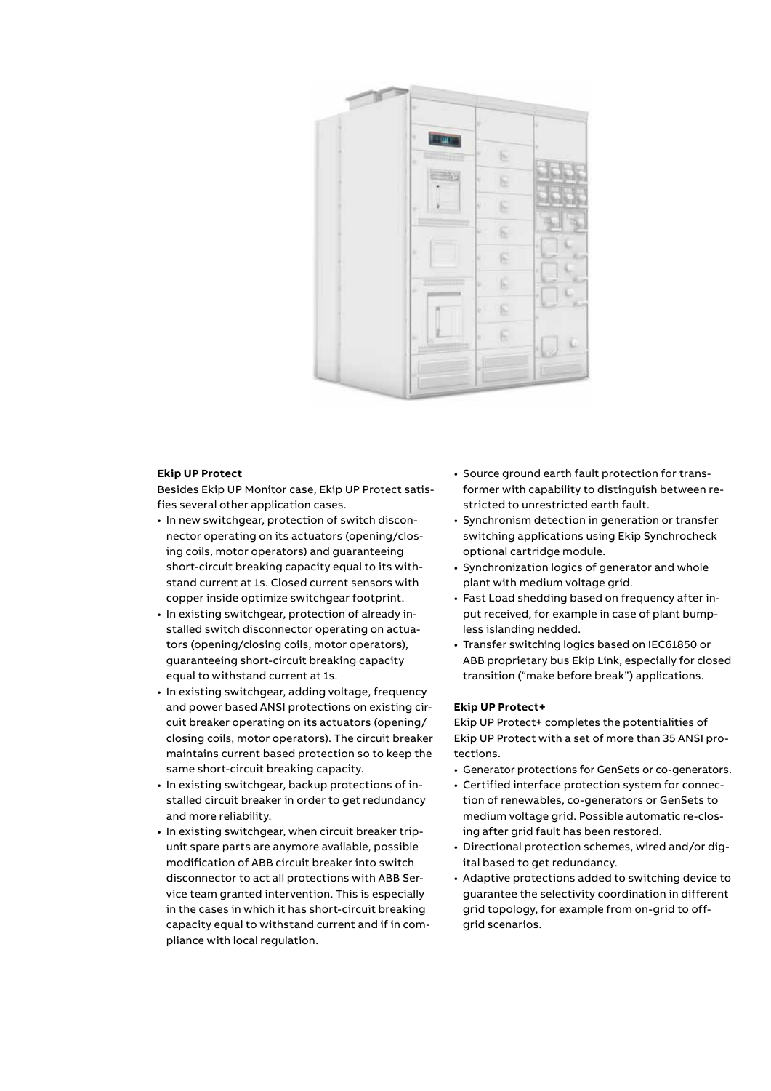

#### **Ekip UP Protect**

Besides Ekip UP Monitor case, Ekip UP Protect satisfies several other application cases.

- In new switchgear, protection of switch disconnector operating on its actuators (opening/closing coils, motor operators) and guaranteeing short-circuit breaking capacity equal to its withstand current at 1s. Closed current sensors with copper inside optimize switchgear footprint.
- In existing switchgear, protection of already installed switch disconnector operating on actuators (opening/closing coils, motor operators), guaranteeing short-circuit breaking capacity equal to withstand current at 1s.
- In existing switchgear, adding voltage, frequency and power based ANSI protections on existing circuit breaker operating on its actuators (opening/ closing coils, motor operators). The circuit breaker maintains current based protection so to keep the same short-circuit breaking capacity.
- In existing switchgear, backup protections of installed circuit breaker in order to get redundancy and more reliability.
- In existing switchgear, when circuit breaker tripunit spare parts are anymore available, possible modification of ABB circuit breaker into switch disconnector to act all protections with ABB Service team granted intervention. This is especially in the cases in which it has short-circuit breaking capacity equal to withstand current and if in compliance with local regulation.
- Source ground earth fault protection for transformer with capability to distinguish between restricted to unrestricted earth fault.
- Synchronism detection in generation or transfer switching applications using Ekip Synchrocheck optional cartridge module.
- Synchronization logics of generator and whole plant with medium voltage grid.
- Fast Load shedding based on frequency after input received, for example in case of plant bumpless islanding nedded.
- Transfer switching logics based on IEC61850 or ABB proprietary bus Ekip Link, especially for closed transition ("make before break") applications.

#### **Ekip UP Protect+**

Ekip UP Protect+ completes the potentialities of Ekip UP Protect with a set of more than 35 ANSI protections.

- Generator protections for GenSets or co-generators.
- Certified interface protection system for connection of renewables, co-generators or GenSets to medium voltage grid. Possible automatic re-closing after grid fault has been restored.
- Directional protection schemes, wired and/or digital based to get redundancy.
- Adaptive protections added to switching device to guarantee the selectivity coordination in different grid topology, for example from on-grid to offgrid scenarios.